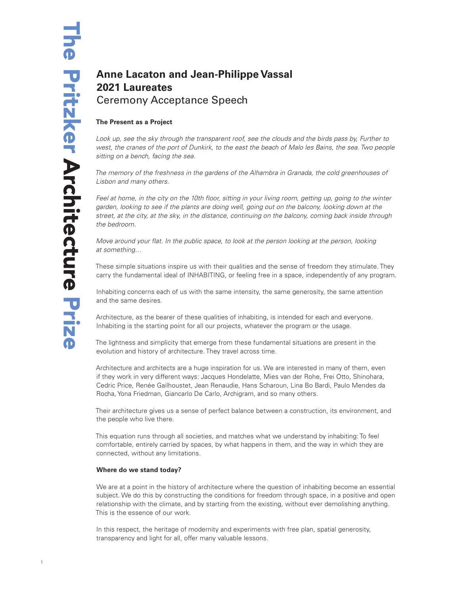# **Anne Lacaton and Jean-Philippe Vassal 2021 Laureates** Ceremony Acceptance Speech

## **The Present as a Project**

*Look up, see the sky through the transparent roof, see the clouds and the birds pass by, Further to west, the cranes of the port of Dunkirk, to the east the beach of Malo les Bains, the sea. Two people sitting on a bench, facing the sea.* 

*The memory of the freshness in the gardens of the Alhambra in Granada, the cold greenhouses of Lisbon and many others.* 

*Feel at home, in the city on the 10th floor, sitting in your living room, getting up, going to the winter garden, looking to see if the plants are doing well, going out on the balcony, looking down at the street, at the city, at the sky, in the distance, continuing on the balcony, coming back inside through the bedroom.*

*Move around your flat. In the public space, to look at the person looking at the person, looking at something…*

These simple situations inspire us with their qualities and the sense of freedom they stimulate. They carry the fundamental ideal of INHABITING, or feeling free in a space, independently of any program.

Inhabiting concerns each of us with the same intensity, the same generosity, the same attention and the same desires.

Architecture, as the bearer of these qualities of inhabiting, is intended for each and everyone. Inhabiting is the starting point for all our projects, whatever the program or the usage.

The lightness and simplicity that emerge from these fundamental situations are present in the evolution and history of architecture. They travel across time.

Architecture and architects are a huge inspiration for us. We are interested in many of them, even if they work in very different ways: Jacques Hondelatte, Mies van der Rohe, Frei Otto, Shinohara, Cedric Price, Renée Gailhoustet, Jean Renaudie, Hans Scharoun, Lina Bo Bardi, Paulo Mendes da Rocha, Yona Friedman, Giancarlo De Carlo, Archigram, and so many others.

Their architecture gives us a sense of perfect balance between a construction, its environment, and the people who live there.

This equation runs through all societies, and matches what we understand by inhabiting: To feel comfortable, entirely carried by spaces, by what happens in them, and the way in which they are connected, without any limitations.

## **Where do we stand today?**

We are at a point in the history of architecture where the question of inhabiting become an essential subject. We do this by constructing the conditions for freedom through space, in a positive and open relationship with the climate, and by starting from the existing, without ever demolishing anything. This is the essence of our work.

In this respect, the heritage of modernity and experiments with free plan, spatial generosity, transparency and light for all, offer many valuable lessons.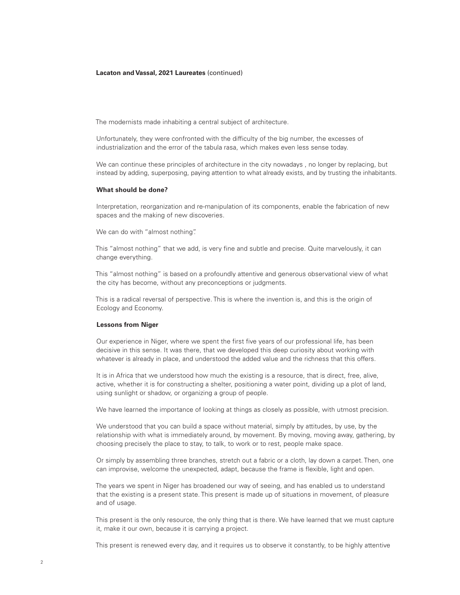The modernists made inhabiting a central subject of architecture.

Unfortunately, they were confronted with the difficulty of the big number, the excesses of industrialization and the error of the tabula rasa, which makes even less sense today.

We can continue these principles of architecture in the city nowadays , no longer by replacing, but instead by adding, superposing, paying attention to what already exists, and by trusting the inhabitants.

#### **What should be done?**

Interpretation, reorganization and re-manipulation of its components, enable the fabrication of new spaces and the making of new discoveries.

We can do with "almost nothing".

This "almost nothing" that we add, is very fine and subtle and precise. Quite marvelously, it can change everything.

This "almost nothing" is based on a profoundly attentive and generous observational view of what the city has become, without any preconceptions or judgments.

This is a radical reversal of perspective. This is where the invention is, and this is the origin of Ecology and Economy.

#### **Lessons from Niger**

Our experience in Niger, where we spent the first five years of our professional life, has been decisive in this sense. It was there, that we developed this deep curiosity about working with whatever is already in place, and understood the added value and the richness that this offers.

It is in Africa that we understood how much the existing is a resource, that is direct, free, alive, active, whether it is for constructing a shelter, positioning a water point, dividing up a plot of land, using sunlight or shadow, or organizing a group of people.

We have learned the importance of looking at things as closely as possible, with utmost precision.

We understood that you can build a space without material, simply by attitudes, by use, by the relationship with what is immediately around, by movement. By moving, moving away, gathering, by choosing precisely the place to stay, to talk, to work or to rest, people make space.

Or simply by assembling three branches, stretch out a fabric or a cloth, lay down a carpet. Then, one can improvise, welcome the unexpected, adapt, because the frame is flexible, light and open.

The years we spent in Niger has broadened our way of seeing, and has enabled us to understand that the existing is a present state. This present is made up of situations in movement, of pleasure and of usage.

This present is the only resource, the only thing that is there. We have learned that we must capture it, make it our own, because it is carrying a project.

This present is renewed every day, and it requires us to observe it constantly, to be highly attentive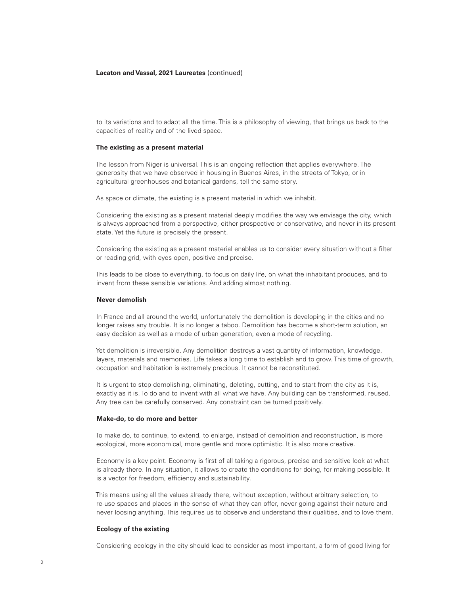to its variations and to adapt all the time. This is a philosophy of viewing, that brings us back to the capacities of reality and of the lived space.

## **The existing as a present material**

The lesson from Niger is universal. This is an ongoing reflection that applies everywhere. The generosity that we have observed in housing in Buenos Aires, in the streets of Tokyo, or in agricultural greenhouses and botanical gardens, tell the same story.

As space or climate, the existing is a present material in which we inhabit.

Considering the existing as a present material deeply modifies the way we envisage the city, which is always approached from a perspective, either prospective or conservative, and never in its present state. Yet the future is precisely the present.

Considering the existing as a present material enables us to consider every situation without a filter or reading grid, with eyes open, positive and precise.

This leads to be close to everything, to focus on daily life, on what the inhabitant produces, and to invent from these sensible variations. And adding almost nothing.

## **Never demolish**

In France and all around the world, unfortunately the demolition is developing in the cities and no longer raises any trouble. It is no longer a taboo. Demolition has become a short-term solution, an easy decision as well as a mode of urban generation, even a mode of recycling.

Yet demolition is irreversible. Any demolition destroys a vast quantity of information, knowledge, layers, materials and memories. Life takes a long time to establish and to grow. This time of growth, occupation and habitation is extremely precious. It cannot be reconstituted.

It is urgent to stop demolishing, eliminating, deleting, cutting, and to start from the city as it is, exactly as it is. To do and to invent with all what we have. Any building can be transformed, reused. Any tree can be carefully conserved. Any constraint can be turned positively.

## **Make-do, to do more and better**

To make do, to continue, to extend, to enlarge, instead of demolition and reconstruction, is more ecological, more economical, more gentle and more optimistic. It is also more creative.

Economy is a key point. Economy is first of all taking a rigorous, precise and sensitive look at what is already there. In any situation, it allows to create the conditions for doing, for making possible. It is a vector for freedom, efficiency and sustainability.

This means using all the values already there, without exception, without arbitrary selection, to re-use spaces and places in the sense of what they can offer, never going against their nature and never loosing anything. This requires us to observe and understand their qualities, and to love them.

#### **Ecology of the existing**

Considering ecology in the city should lead to consider as most important, a form of good living for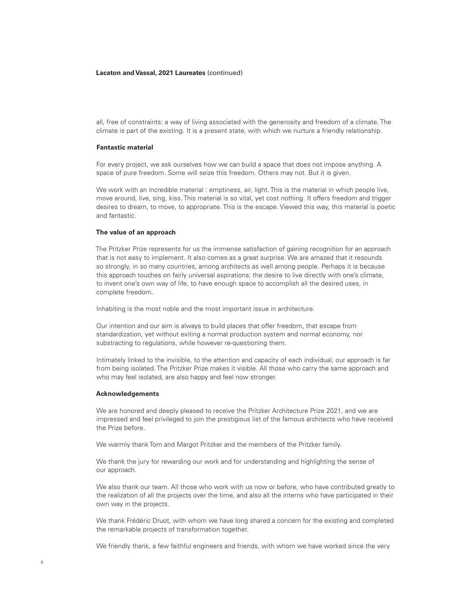all, free of constraints: a way of living associated with the generosity and freedom of a climate. The climate is part of the existing. It is a present state, with which we nurture a friendly relationship.

## **Fantastic material**

For every project, we ask ourselves how we can build a space that does not impose anything. A space of pure freedom. Some will seize this freedom. Others may not. But it is given.

We work with an incredible material : emptiness, air, light. This is the material in which people live, move around, live, sing, kiss. This material is so vital, yet cost nothing. It offers freedom and trigger desires to dream, to move, to appropriate. This is the escape. Viewed this way, this material is poetic and fantastic.

## **The value of an approach**

The Pritzker Prize represents for us the immense satisfaction of gaining recognition for an approach that is not easy to implement. It also comes as a great surprise. We are amazed that it resounds so strongly, in so many countries, among architects as well among people. Perhaps it is because this approach touches on fairly universal aspirations: the desire to live directly with one's climate, to invent one's own way of life, to have enough space to accomplish all the desired uses, in complete freedom.

Inhabiting is the most noble and the most important issue in architecture.

Our intention and our aim is always to build places that offer freedom, that escape from standardization, yet without exiting a normal production system and normal economy, nor substracting to regulations, while however re-questioning them.

Intimately linked to the invisible, to the attention and capacity of each individual, our approach is far from being isolated. The Pritzker Prize makes it visible. All those who carry the same approach and who may feel isolated, are also happy and feel now stronger.

#### **Acknowledgements**

We are honored and deeply pleased to receive the Pritzker Architecture Prize 2021, and we are impressed and feel privileged to join the prestigious list of the famous architects who have received the Prize before.

We warmly thank Tom and Margot Pritzker and the members of the Pritzker family.

We thank the jury for rewarding our work and for understanding and highlighting the sense of our approach.

We also thank our team. All those who work with us now or before, who have contributed greatly to the realization of all the projects over the time, and also all the interns who have participated in their own way in the projects.

We thank Frédéric Druot, with whom we have long shared a concern for the existing and completed the remarkable projects of transformation together.

We friendly thank, a few faithful engineers and friends, with whom we have worked since the very